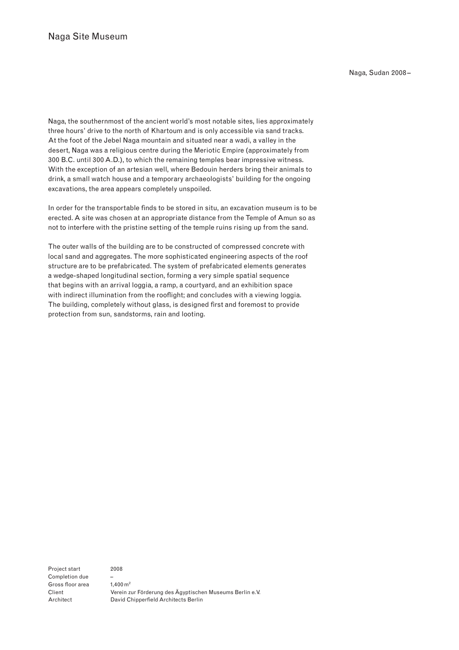Naga, the southernmost of the ancient world's most notable sites, lies approximately three hours' drive to the north of Khartoum and is only accessible via sand tracks. At the foot of the Jebel Naga mountain and situated near a wadi, a valley in the desert, Naga was a religious centre during the Meriotic Empire (approximately from 300 B.C. until 300 A.D.), to which the remaining temples bear impressive witness. With the exception of an artesian well, where Bedouin herders bring their animals to drink, a small watch house and a temporary archaeologists' building for the ongoing excavations, the area appears completely unspoiled.

In order for the transportable finds to be stored in situ, an excavation museum is to be erected. A site was chosen at an appropriate distance from the Temple of Amun so as not to interfere with the pristine setting of the temple ruins rising up from the sand.

The outer walls of the building are to be constructed of compressed concrete with local sand and aggregates. The more sophisticated engineering aspects of the roof structure are to be prefabricated. The system of prefabricated elements generates a wedge-shaped longitudinal section, forming a very simple spatial sequence that begins with an arrival loggia, a ramp, a courtyard, and an exhibition space with indirect illumination from the rooflight; and concludes with a viewing loggia. The building, completely without glass, is designed first and foremost to provide protection from sun, sandstorms, rain and looting.

Project start Completion due Gross floor area Client Architect

2008

– 1,400 m2 Verein zur Förderung des Ägyptischen Museums Berlin e.V. David Chipperfield Architects Berlin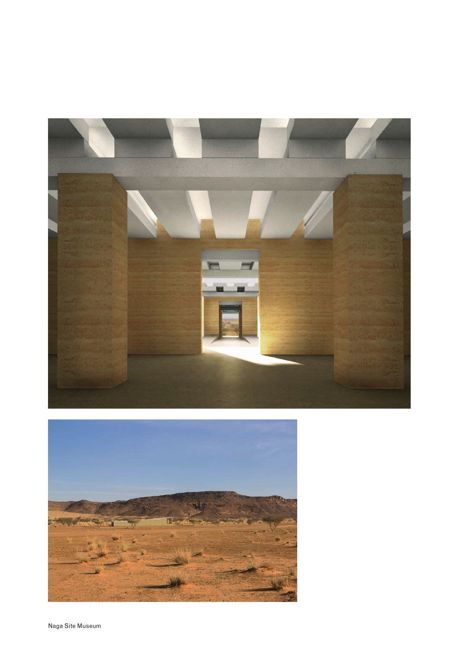